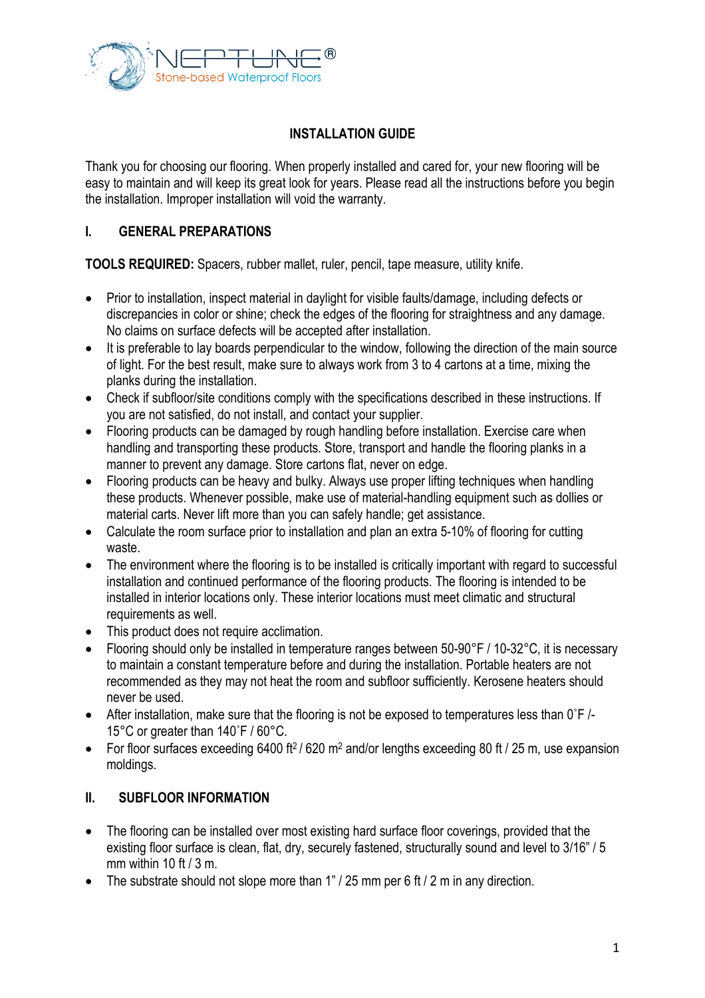

# **INSTALLATION GUIDE**

Thank you for choosing our flooring. When properly installed and cared for, your new flooring will be easy to maintain and will keep its great look for years. Please read all the instructions before you begin the installation. Improper installation will void the warranty.

#### **I. GENERAL PREPARATIONS**

**TOOLS REQUIRED:** Spacers, rubber mallet, ruler, pencil, tape measure, utility knife.

- Prior to installation, inspect material in daylight for visible faults/damage, including defects or discrepancies in color or shine; check the edges of the flooring for straightness and any damage. No claims on surface defects will be accepted after installation.
- It is preferable to lay boards perpendicular to the window, following the direction of the main source of light. For the best result, make sure to always work from 3 to 4 cartons at a time, mixing the planks during the installation.
- Check if subfloor/site conditions comply with the specifications described in these instructions. If you are not satisfied, do not install, and contact your supplier.
- Flooring products can be damaged by rough handling before installation. Exercise care when handling and transporting these products. Store, transport and handle the flooring planks in a manner to prevent any damage. Store cartons flat, never on edge.
- Flooring products can be heavy and bulky. Always use proper lifting techniques when handling these products. Whenever possible, make use of material-handling equipment such as dollies or material carts. Never lift more than you can safely handle; get assistance.
- Calculate the room surface prior to installation and plan an extra 5-10% of flooring for cutting waste.
- The environment where the flooring is to be installed is critically important with regard to successful installation and continued performance of the flooring products. The flooring is intended to be installed in interior locations only. These interior locations must meet climatic and structural requirements as well.
- This product does not require acclimation.
- Flooring should only be installed in temperature ranges between 50-90°F / 10-32°C, it is necessary to maintain a constant temperature before and during the installation. Portable heaters are not recommended as they may not heat the room and subfloor sufficiently. Kerosene heaters should never be used.
- After installation, make sure that the flooring is not be exposed to temperatures less than 0°F/-15°C or greater than 140˚F / 60°C.
- For floor surfaces exceeding 6400 ft<sup>2</sup> / 620 m<sup>2</sup> and/or lengths exceeding 80 ft / 25 m, use expansion moldings.

## **II. SUBFLOOR INFORMATION**

- The flooring can be installed over most existing hard surface floor coverings, provided that the existing floor surface is clean, flat, dry, securely fastened, structurally sound and level to 3/16" / 5 mm within 10 ft  $/$  3 m.
- The substrate should not slope more than  $1" / 25$  mm per 6 ft  $/ 2$  m in any direction.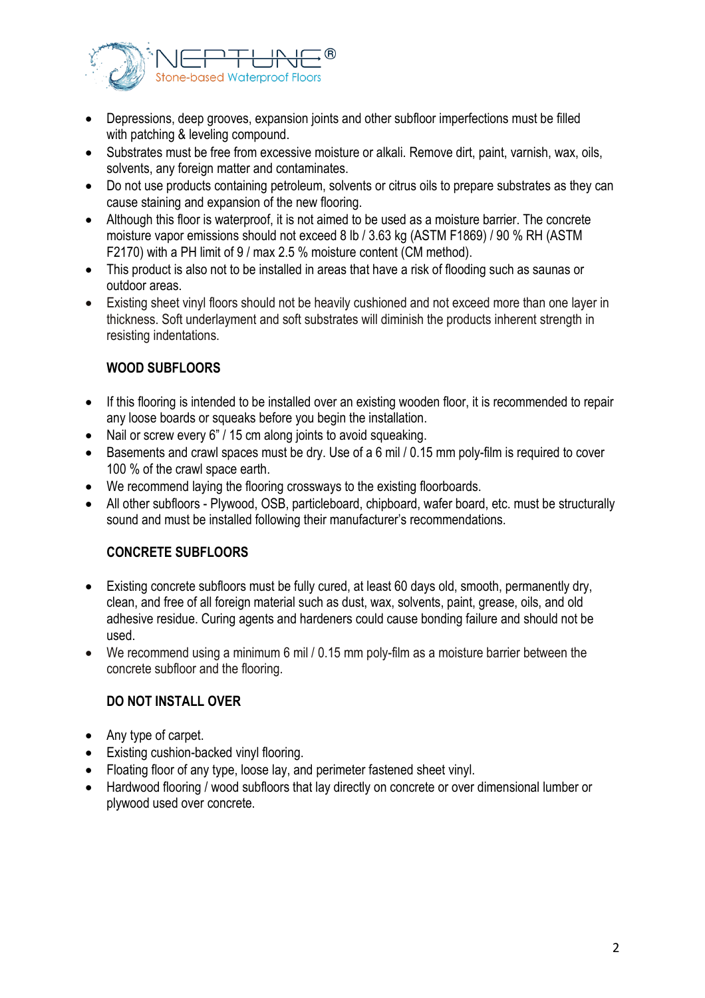

- Depressions, deep grooves, expansion joints and other subfloor imperfections must be filled with patching & leveling compound.
- Substrates must be free from excessive moisture or alkali. Remove dirt, paint, varnish, wax, oils, solvents, any foreign matter and contaminates.
- Do not use products containing petroleum, solvents or citrus oils to prepare substrates as they can cause staining and expansion of the new flooring.
- Although this floor is waterproof, it is not aimed to be used as a moisture barrier. The concrete moisture vapor emissions should not exceed 8 lb / 3.63 kg (ASTM F1869) / 90 % RH (ASTM F2170) with a PH limit of 9 / max 2.5 % moisture content (CM method).
- This product is also not to be installed in areas that have a risk of flooding such as saunas or outdoor areas.
- Existing sheet vinyl floors should not be heavily cushioned and not exceed more than one layer in thickness. Soft underlayment and soft substrates will diminish the products inherent strength in resisting indentations.

# **WOOD SUBFLOORS**

- If this flooring is intended to be installed over an existing wooden floor, it is recommended to repair any loose boards or squeaks before you begin the installation.
- Nail or screw every 6" / 15 cm along joints to avoid squeaking.
- Basements and crawl spaces must be dry. Use of a 6 mil / 0.15 mm poly-film is required to cover 100 % of the crawl space earth.
- We recommend laying the flooring crossways to the existing floorboards.
- All other subfloors Plywood, OSB, particleboard, chipboard, wafer board, etc. must be structurally sound and must be installed following their manufacturer's recommendations.

## **CONCRETE SUBFLOORS**

- Existing concrete subfloors must be fully cured, at least 60 days old, smooth, permanently dry, clean, and free of all foreign material such as dust, wax, solvents, paint, grease, oils, and old adhesive residue. Curing agents and hardeners could cause bonding failure and should not be used.
- We recommend using a minimum 6 mil / 0.15 mm poly-film as a moisture barrier between the concrete subfloor and the flooring.

## **DO NOT INSTALL OVER**

- Any type of carpet.
- Existing cushion-backed vinyl flooring.
- Floating floor of any type, loose lay, and perimeter fastened sheet vinyl.
- Hardwood flooring / wood subfloors that lay directly on concrete or over dimensional lumber or plywood used over concrete.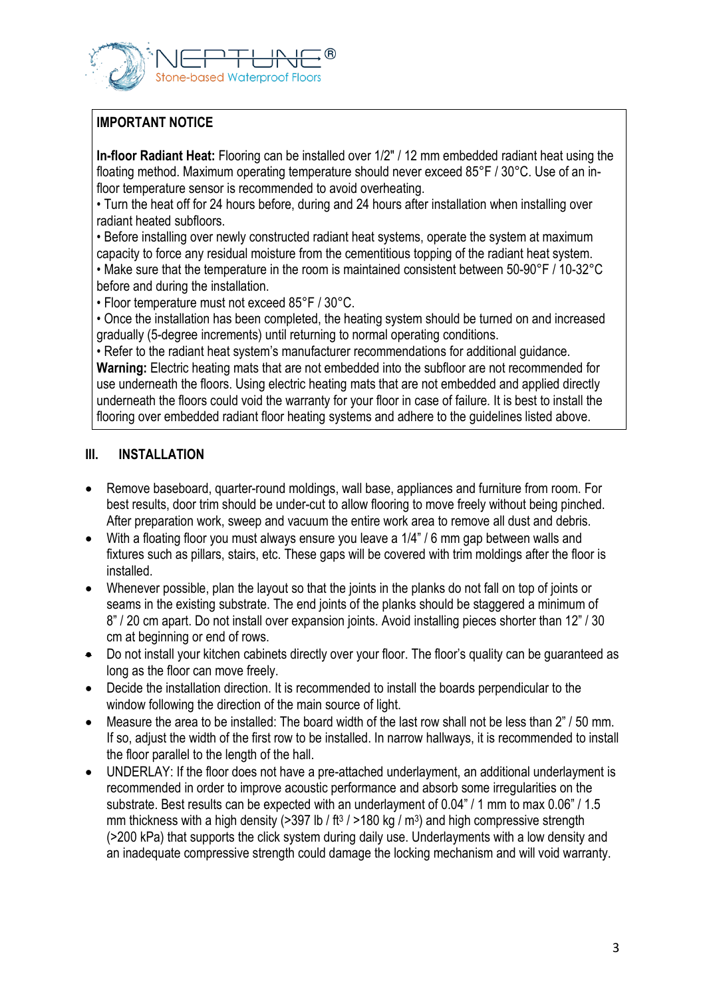

## **IMPORTANT NOTICE**

**In-floor Radiant Heat:** Flooring can be installed over 1/2" / 12 mm embedded radiant heat using the floating method. Maximum operating temperature should never exceed 85°F / 30°C. Use of an infloor temperature sensor is recommended to avoid overheating.

• Turn the heat off for 24 hours before, during and 24 hours after installation when installing over radiant heated subfloors.

• Before installing over newly constructed radiant heat systems, operate the system at maximum capacity to force any residual moisture from the cementitious topping of the radiant heat system. • Make sure that the temperature in the room is maintained consistent between 50-90°F / 10-32°C before and during the installation.

• Floor temperature must not exceed 85°F / 30°C.

• Once the installation has been completed, the heating system should be turned on and increased gradually (5-degree increments) until returning to normal operating conditions.

• Refer to the radiant heat system's manufacturer recommendations for additional guidance. **Warning:** Electric heating mats that are not embedded into the subfloor are not recommended for use underneath the floors. Using electric heating mats that are not embedded and applied directly underneath the floors could void the warranty for your floor in case of failure. It is best to install the flooring over embedded radiant floor heating systems and adhere to the guidelines listed above.

#### **III. INSTALLATION**

- Remove baseboard, quarter-round moldings, wall base, appliances and furniture from room. For best results, door trim should be under-cut to allow flooring to move freely without being pinched. After preparation work, sweep and vacuum the entire work area to remove all dust and debris.
- With a floating floor you must always ensure you leave a 1/4" / 6 mm gap between walls and fixtures such as pillars, stairs, etc. These gaps will be covered with trim moldings after the floor is installed.
- Whenever possible, plan the layout so that the joints in the planks do not fall on top of joints or seams in the existing substrate. The end joints of the planks should be staggered a minimum of 8" / 20 cm apart. Do not install over expansion joints. Avoid installing pieces shorter than 12" / 30 cm at beginning or end of rows.
- Do not install your kitchen cabinets directly over your floor. The floor's quality can be quaranteed as long as the floor can move freely.
- Decide the installation direction. It is recommended to install the boards perpendicular to the window following the direction of the main source of light.
- Measure the area to be installed: The board width of the last row shall not be less than 2" / 50 mm. If so, adjust the width of the first row to be installed. In narrow hallways, it is recommended to install the floor parallel to the length of the hall.
- UNDERLAY: If the floor does not have a pre-attached underlayment, an additional underlayment is recommended in order to improve acoustic performance and absorb some irregularities on the substrate. Best results can be expected with an underlayment of 0.04" / 1 mm to max 0.06" / 1.5 mm thickness with a high density (>397 lb / ft<sup>3</sup> / >180 kg / m<sup>3</sup>) and high compressive strength (>200 kPa) that supports the click system during daily use. Underlayments with a low density and an inadequate compressive strength could damage the locking mechanism and will void warranty.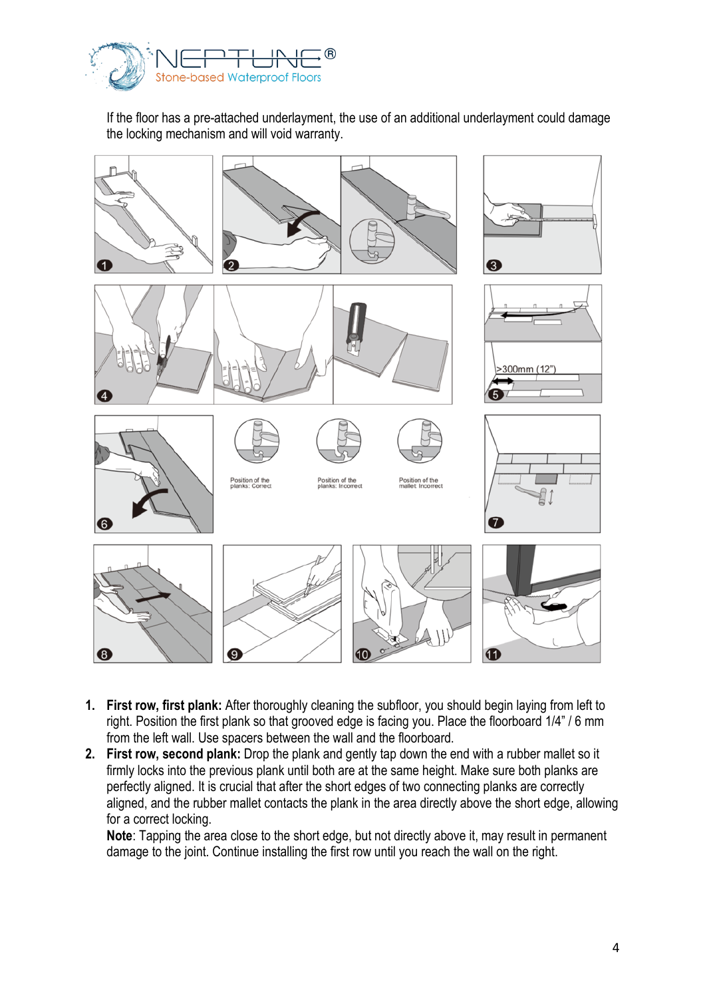

If the floor has a pre-attached underlayment, the use of an additional underlayment could damage the locking mechanism and will void warranty.



- **1. First row, first plank:** After thoroughly cleaning the subfloor, you should begin laying from left to right. Position the first plank so that grooved edge is facing you. Place the floorboard 1/4" / 6 mm from the left wall. Use spacers between the wall and the floorboard.
- **2. First row, second plank:** Drop the plank and gently tap down the end with a rubber mallet so it firmly locks into the previous plank until both are at the same height. Make sure both planks are perfectly aligned. It is crucial that after the short edges of two connecting planks are correctly aligned, and the rubber mallet contacts the plank in the area directly above the short edge, allowing for a correct locking.

**Note**: Tapping the area close to the short edge, but not directly above it, may result in permanent damage to the joint. Continue installing the first row until you reach the wall on the right.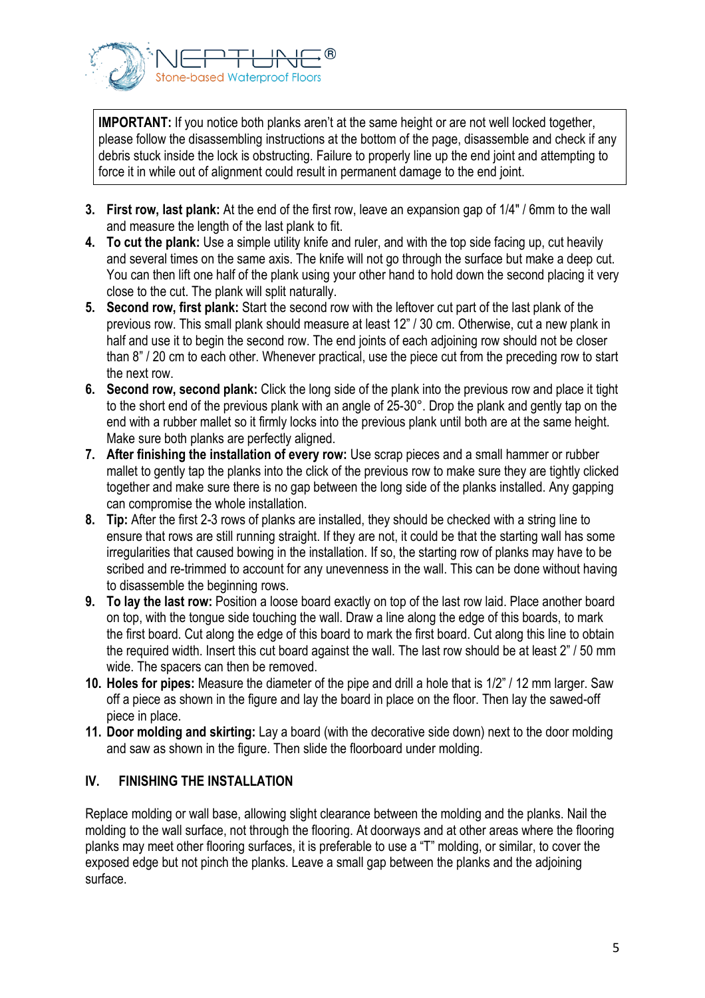

**IMPORTANT:** If you notice both planks aren't at the same height or are not well locked together, please follow the disassembling instructions at the bottom of the page, disassemble and check if any debris stuck inside the lock is obstructing. Failure to properly line up the end joint and attempting to force it in while out of alignment could result in permanent damage to the end joint.

- **3. First row, last plank:** At the end of the first row, leave an expansion gap of 1/4" / 6mm to the wall and measure the length of the last plank to fit.
- **4. To cut the plank:** Use a simple utility knife and ruler, and with the top side facing up, cut heavily and several times on the same axis. The knife will not go through the surface but make a deep cut. You can then lift one half of the plank using your other hand to hold down the second placing it very close to the cut. The plank will split naturally.
- **5. Second row, first plank:** Start the second row with the leftover cut part of the last plank of the previous row. This small plank should measure at least 12" / 30 cm. Otherwise, cut a new plank in half and use it to begin the second row. The end joints of each adjoining row should not be closer than 8" / 20 cm to each other. Whenever practical, use the piece cut from the preceding row to start the next row.
- **6. Second row, second plank:** Click the long side of the plank into the previous row and place it tight to the short end of the previous plank with an angle of 25-30°. Drop the plank and gently tap on the end with a rubber mallet so it firmly locks into the previous plank until both are at the same height. Make sure both planks are perfectly aligned.
- **7. After finishing the installation of every row:** Use scrap pieces and a small hammer or rubber mallet to gently tap the planks into the click of the previous row to make sure they are tightly clicked together and make sure there is no gap between the long side of the planks installed. Any gapping can compromise the whole installation.
- **8. Tip:** After the first 2-3 rows of planks are installed, they should be checked with a string line to ensure that rows are still running straight. If they are not, it could be that the starting wall has some irregularities that caused bowing in the installation. If so, the starting row of planks may have to be scribed and re-trimmed to account for any unevenness in the wall. This can be done without having to disassemble the beginning rows.
- **9. To lay the last row:** Position a loose board exactly on top of the last row laid. Place another board on top, with the tongue side touching the wall. Draw a line along the edge of this boards, to mark the first board. Cut along the edge of this board to mark the first board. Cut along this line to obtain the required width. Insert this cut board against the wall. The last row should be at least 2" / 50 mm wide. The spacers can then be removed.
- **10. Holes for pipes:** Measure the diameter of the pipe and drill a hole that is 1/2" / 12 mm larger. Saw off a piece as shown in the figure and lay the board in place on the floor. Then lay the sawed-off piece in place.
- **11. Door molding and skirting:** Lay a board (with the decorative side down) next to the door molding and saw as shown in the figure. Then slide the floorboard under molding.

## **IV. FINISHING THE INSTALLATION**

Replace molding or wall base, allowing slight clearance between the molding and the planks. Nail the molding to the wall surface, not through the flooring. At doorways and at other areas where the flooring planks may meet other flooring surfaces, it is preferable to use a "T" molding, or similar, to cover the exposed edge but not pinch the planks. Leave a small gap between the planks and the adjoining surface.